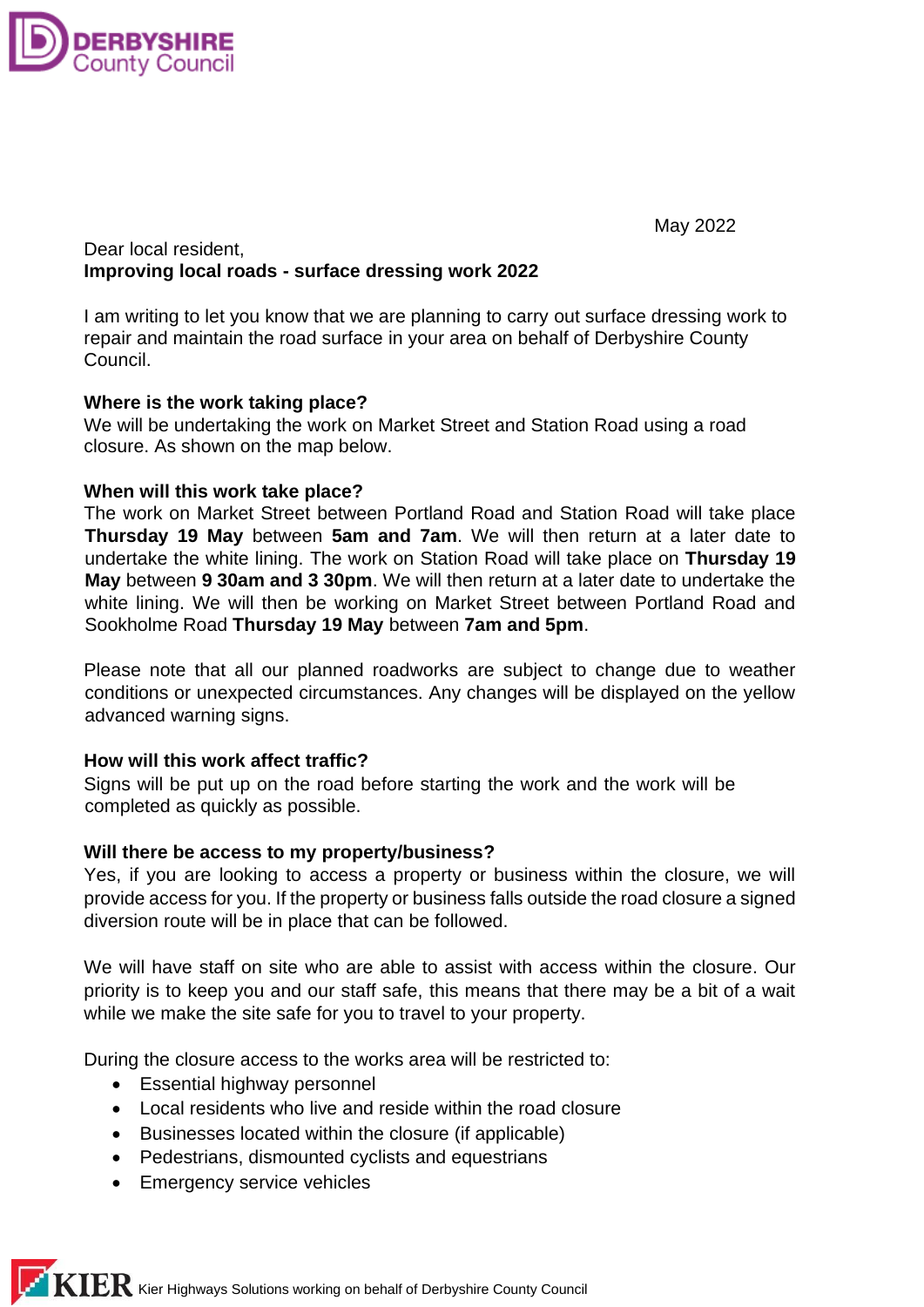

May 2022

## Dear local resident, **Improving local roads - surface dressing work 2022**

I am writing to let you know that we are planning to carry out surface dressing work to repair and maintain the road surface in your area on behalf of Derbyshire County Council.

## **Where is the work taking place?**

We will be undertaking the work on Market Street and Station Road using a road closure. As shown on the map below.

## **When will this work take place?**

The work on Market Street between Portland Road and Station Road will take place **Thursday 19 May** between **5am and 7am**. We will then return at a later date to undertake the white lining. The work on Station Road will take place on **Thursday 19 May** between **9 30am and 3 30pm**. We will then return at a later date to undertake the white lining. We will then be working on Market Street between Portland Road and Sookholme Road **Thursday 19 May** between **7am and 5pm**.

Please note that all our planned roadworks are subject to change due to weather conditions or unexpected circumstances. Any changes will be displayed on the yellow advanced warning signs.

# **How will this work affect traffic?**

Signs will be put up on the road before starting the work and the work will be completed as quickly as possible.

## **Will there be access to my property/business?**

Yes, if you are looking to access a property or business within the closure, we will provide access for you. If the property or business falls outside the road closure a signed diversion route will be in place that can be followed.

We will have staff on site who are able to assist with access within the closure. Our priority is to keep you and our staff safe, this means that there may be a bit of a wait while we make the site safe for you to travel to your property.

During the closure access to the works area will be restricted to:

- Essential highway personnel
- Local residents who live and reside within the road closure
- Businesses located within the closure (if applicable)
- Pedestrians, dismounted cyclists and equestrians
- Emergency service vehicles

 $\bf{KIER}$  Kier Highways Solutions working on behalf of Derbyshire County Council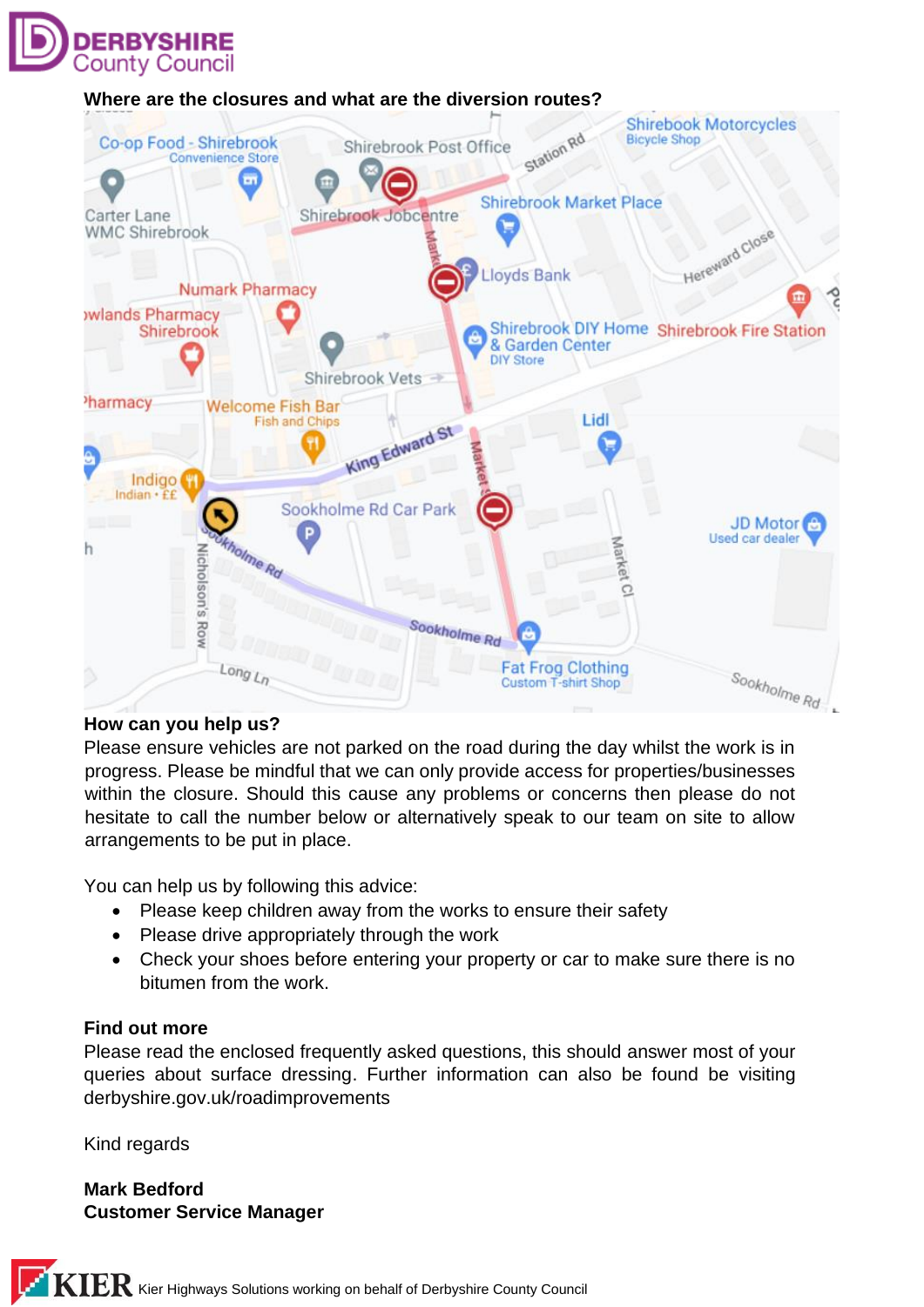

## **Where are the closures and what are the diversion routes?**



## **How can you help us?**

Please ensure vehicles are not parked on the road during the day whilst the work is in progress. Please be mindful that we can only provide access for properties/businesses within the closure. Should this cause any problems or concerns then please do not hesitate to call the number below or alternatively speak to our team on site to allow arrangements to be put in place.

You can help us by following this advice:

- Please keep children away from the works to ensure their safety
- Please drive appropriately through the work
- Check your shoes before entering your property or car to make sure there is no bitumen from the work.

#### **Find out more**

Please read the enclosed frequently asked questions, this should answer most of your queries about surface dressing. Further information can also be found be visiting derbyshire.gov.uk/roadimprovements

Kind regards

**Mark Bedford Customer Service Manager**

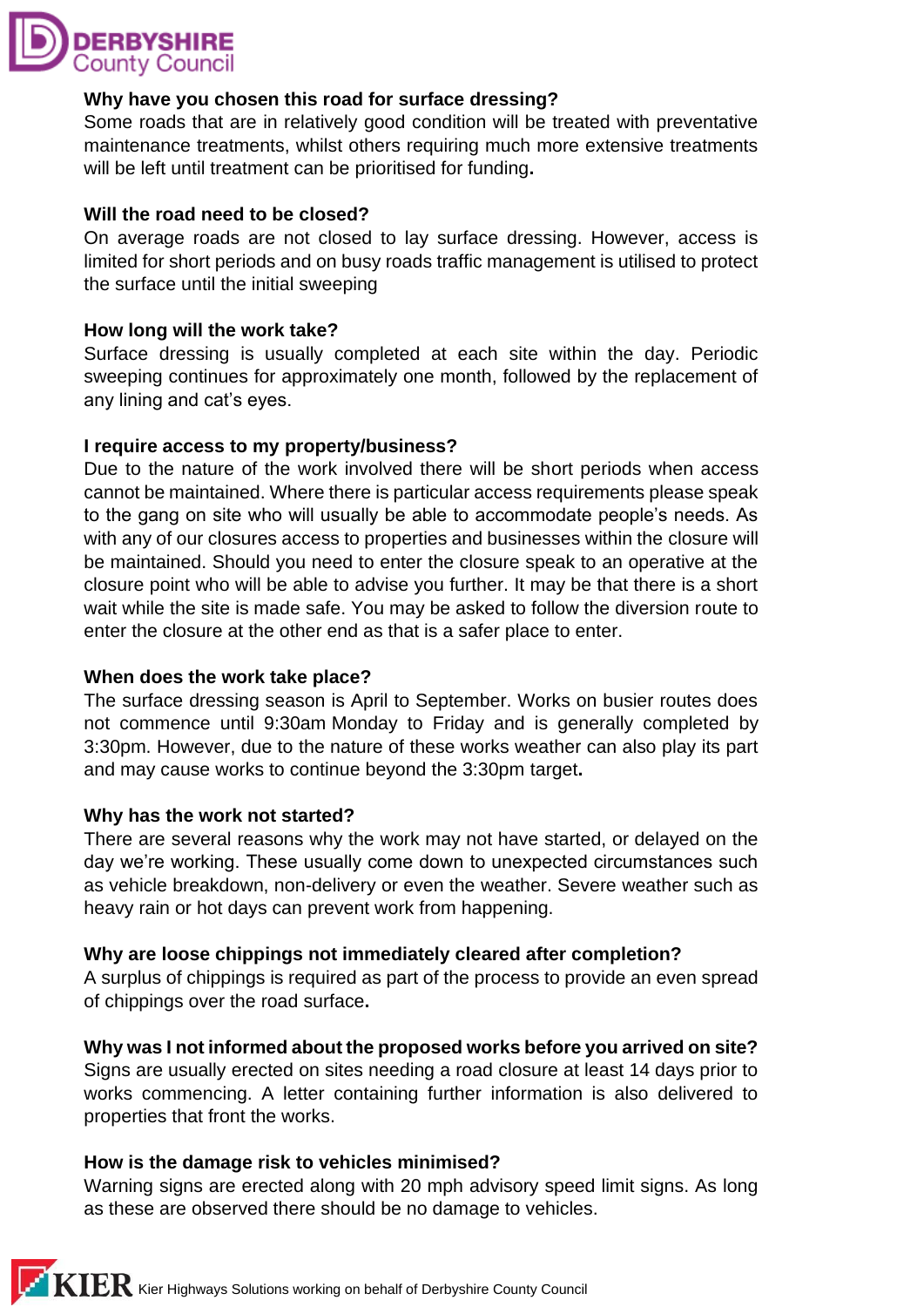

## **Why have you chosen this road for surface dressing?**

Some roads that are in relatively good condition will be treated with preventative maintenance treatments, whilst others requiring much more extensive treatments will be left until treatment can be prioritised for funding**.**

## **Will the road need to be closed?**

On average roads are not closed to lay surface dressing. However, access is limited for short periods and on busy roads traffic management is utilised to protect the surface until the initial sweeping

## **How long will the work take?**

Surface dressing is usually completed at each site within the day. Periodic sweeping continues for approximately one month, followed by the replacement of any lining and cat's eyes.

#### **I require access to my property/business?**

Due to the nature of the work involved there will be short periods when access cannot be maintained. Where there is particular access requirements please speak to the gang on site who will usually be able to accommodate people's needs. As with any of our closures access to properties and businesses within the closure will be maintained. Should you need to enter the closure speak to an operative at the closure point who will be able to advise you further. It may be that there is a short wait while the site is made safe. You may be asked to follow the diversion route to enter the closure at the other end as that is a safer place to enter.

## **When does the work take place?**

The surface dressing season is April to September. Works on busier routes does not commence until 9:30am Monday to Friday and is generally completed by 3:30pm. However, due to the nature of these works weather can also play its part and may cause works to continue beyond the 3:30pm target**.** 

#### **Why has the work not started?**

There are several reasons why the work may not have started, or delayed on the day we're working. These usually come down to unexpected circumstances such as vehicle breakdown, non-delivery or even the weather. Severe weather such as heavy rain or hot days can prevent work from happening.

## **Why are loose chippings not immediately cleared after completion?**

A surplus of chippings is required as part of the process to provide an even spread of chippings over the road surface**.**

## **Why was I not informed about the proposed works before you arrived on site?**

Signs are usually erected on sites needing a road closure at least 14 days prior to works commencing. A letter containing further information is also delivered to properties that front the works.

## **How is the damage risk to vehicles minimised?**

Warning signs are erected along with 20 mph advisory speed limit signs. As long as these are observed there should be no damage to vehicles.